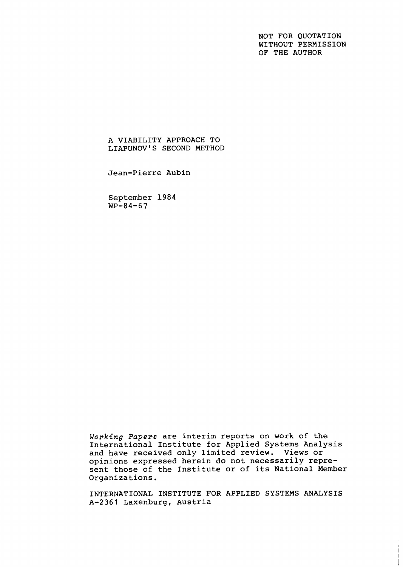NOT FOR QUOTATION WITHOUT PERMISSION OF THE AUTHOR

A VIABILITY APPROACH TO LIAPUNOV'S SECOND METHOD

Jean-Pierre Aubin

September 1984  $WP-84-67$ 

Working Papers are interim reports on work of the International Institute for Applied Systems Analysis and have received only limited review. Views or opinions expressed herein do not necessarily represent those of the Institute or of its National Member Organizations.

INTERNATIONAL INSTITUTE FOR APPLIED SYSTEMS ANALYSIS A-2361 Laxenburg, Austria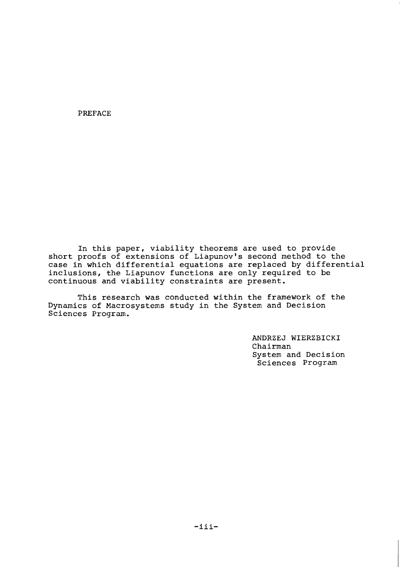PREFACE

In this paper, viability theorems are used to provide short proofs of extensions of Liapunov's second method to the case in which differential equations are replaced by differential inclusions, the Liapunov functions are only required to be continuous and viability constraints are present.

This research was conducted within the framework of the Dynamics of Macrosystems study in the System and Decision Sciences Program.

> ANDRZEJ WIERZBICKI Chairman System and Decision Sciences Program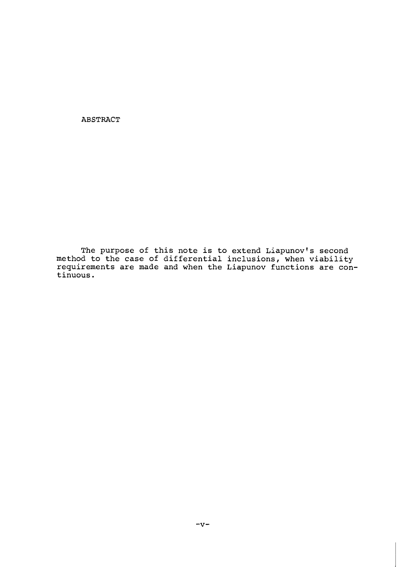**ABSTRACT** 

**The purpose of this note is to extend Liapunovls second method to the case of differential inclusions, when viability requirements are made and when the Liapunov functions are continuous.**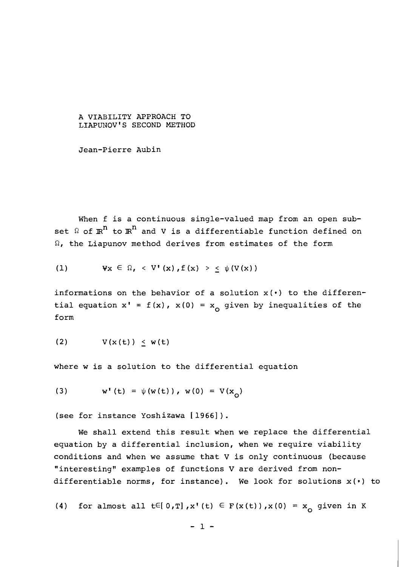### A VIABILITY APPROACH TO LIAPUNOV'S SECOND METHOD

Jean-Pierre Aubin

When f is a continuous single-valued map from an open subset  $\Omega$  of  $\mathbb{R}^n$  to  $\mathbb{R}^n$  and V is a differentiable function defined on  $\Omega$ , the Liapunov method derives from estimates of the form

(1) 
$$
\forall x \in \Omega, \langle V'(x), f(x) \rangle \leq \psi(V(x))
$$

informations on the behavior of a solution  $x(\cdot)$  to the differential equation  $x' = f(x)$ ,  $x(0) = x_0$  given by inequalities of the form

$$
(2) \tV(x(t)) \leq w(t)
$$

where w is a solution to the differential equation

 $w' (t) = \psi(w(t))$ ,  $w(0) = V(x_0)$  $(3)$ 

(see for instance Yoshizawa [1966]).

We shall extend this result when we replace the differential equation by a differential inclusion, when we require viability conditions and when we assume that V is only continuous (because "interesting" examples of functions V are derived from nondifferentiable norms, for instance). We look for solutions **x(\*)** to

(4) for almost all  $t \in [0,T]$ ,  $x' (t) \in F(x(t))$ ,  $x(0) = x_0$  given in K

$$
-1 -
$$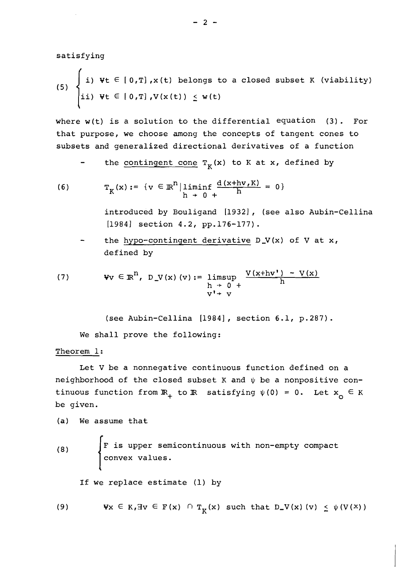satisfying

(5) 
$$
\begin{cases} i) \quad \forall t \in [0,T], x(t) \text{ belongs to a closed subset } K \text{ (viability)} \\ ii) \quad \forall t \in [0,T], V(x(t)) \leq w(t) \end{cases}
$$

where  $w(t)$  is a solution to the differential equation (3). For that purpose, we choose among the concepts of tangent cones to subsets and generalized directional derivatives of a function

the contingent cone  $T_K(x)$  to  $K$  at  $x$ , defined by

(6) 
$$
T_K(x) := \{v \in \mathbb{R}^n | \liminf_{h \to 0^+} \frac{d(x + hv, K)}{h} = 0\}
$$

introduced by Bouligand [1932], (see also Aubin-Cellina [1984] section 4.2, pp.176-177).

- the hypo-contingent derivative D-V(x) of V at x, defined by

(7) 
$$
\forall v \in \mathbb{R}^n, D_V(x) (v) := \limsup_{\substack{h \to 0^+ \\ v' \to v}} \frac{V(x + hv') - V(x)}{h}
$$

(see Aubin-Cellina [1984], section 6.1, p.287).

We shall prove the following:

# Theorem 1:

Let V be a nonnegative continuous function defined on a neighborhood of the closed subset K and  $\psi$  be a nonpositive continuous function from  $\mathbb{R}_+$  to  $\mathbb{R}$  satisfying  $\psi(0) = 0$ . Let  $x_0 \in K$ be given.

(a) We assume that

**4** 

(8)  $\left\{\n \begin{array}{ccc}\n F & \text{is upper semicontinuous with non-empty compact}\n \end{array}\n\right\}$ convex values.

If we replace estimate (1) by

(9)  $\forall x \in K$ ,  $\exists v \in F(x) \cap T_K(x)$  such that  $D_V(x)$  (v)  $\leq \psi(V(x))$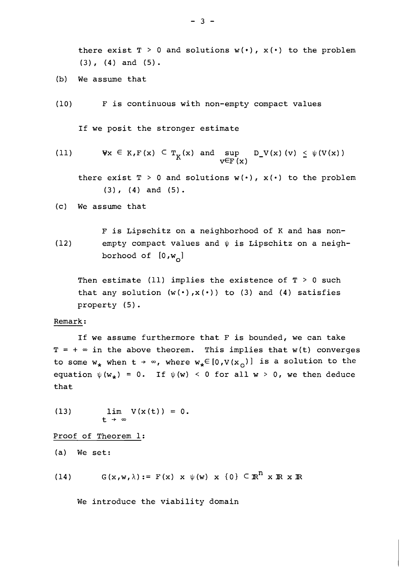there exist  $T > 0$  and solutions  $w(\cdot)$ ,  $x(\cdot)$  to the problem  $(3)$ ,  $(4)$  and  $(5)$ .

- (b) We assume that
- (10 F is continuous with non-empty compact values

If we posit the stronger estimate

(11) 
$$
\forall x \in K, F(x) \subset T_K(x) \text{ and } \sup_{V \in F(x)} D_V(x) (v) \leq \psi(V(x))
$$

there exist  $T > 0$  and solutions  $w(\cdot)$ ,  $x(\cdot)$  to the problem **(3)** (4) and (5).

(c) We assume that

F is Lipschitz on a neighborhood of K and has non- (12) empty compact values and  $\psi$  is Lipschitz on a neighborhood of  $[0,w_{\overline{Q}}]$ 

Then estimate (11) implies the existence of  $T > 0$  such that any solution  $(w(·), x(·))$  to  $(3)$  and  $(4)$  satisfies property (5) .

### Remark :

If we assume furthermore that F is bounded, we can take  $T = + \infty$  in the above theorem. This implies that w(t) converges to some  $w_*$  when  $t \to \infty$ , where  $w_* \in [0, V(x_0)]$  is a solution to the equation  $\psi(w_*) = 0$ . If  $\psi(w) < 0$  for all  $w > 0$ , we then deduce that

(13)  $\lim V(x(t)) = 0.$  $t \rightarrow \infty$ 

Proof of Theorem 1:

(a) We set:

 $G(x,w,\lambda) := F(x) \times \psi(w) \times \{0\} \subseteq \mathbb{R}^n \times \mathbb{R} \times \mathbb{R}$  $(14)$ 

We introduce the viability domain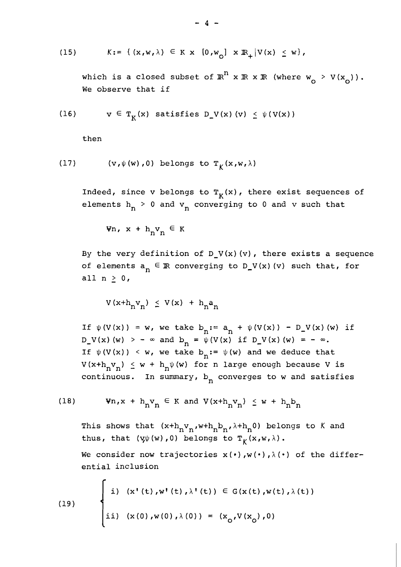$$
(15) \quad K:= \{ (x,w,\lambda) \in K \times [0,w_0] \times \mathbb{R}_+ | V(x) \leq w \},
$$

which is a closed subset of  $\mathbb{R}^n$  x  $\mathbb{R}$  x  $\mathbb{R}$  (where  $w_{n} > V(x_{n})$ ). We observe that if

(16) 
$$
v \in T_K(x)
$$
 satisfies  $D_V(x)(v) \leq \psi(V(x))$ 

then

(17) 
$$
(v, \psi(w), 0)
$$
 belongs to  $T_{\kappa}(x, w, \lambda)$ 

Indeed, since v belongs to  $T_K(x)$ , there exist sequences of elements  $h_n > 0$  and  $v_n$  converging to 0 and v such that

 $\forall n, x + h_n v_n \in K$ 

By the very definition of  $D_V(x)(v)$ , there exists a sequence of elements  $a_n \in \mathbb{R}$  converging to  $D_V(x)$  (v) such that, for all  $n \geq 0$ ,

$$
V(x+h_n v_n) \leq V(x) + h_n a_n
$$

If  $\psi(V(x)) = w$ , we take  $b_n := a_n + \psi(V(x)) - D_V(x)$  (w) if  $D_{v}(x)$  (w) > -  $\infty$  and  $b_{n} = \psi(V(x))$  if  $D_{v}(x)$  (w) = -  $\infty$ . If  $\psi(V(x)) \leq w$ , we take  $b_n := \psi(w)$  and we deduce that  $V(x+h_nv_n) \leq w + h_n\psi(w)$  for n large enough because V is continuous. In summary,  $b_n$  converges to w and satisfies

(18) 
$$
\forall n, x + h_n v_n \in K \text{ and } V(x+h_n v_n) \leq w + h_n b_n
$$

This shows that  $(x+h_nv_n,wh_nb_n,\lambda+h_n0)$  belongs to K and thus, that  $(y\psi(w), 0)$  belongs to  $T_K(x, w, \lambda)$ .

We consider now trajectories  $x(\cdot)$ ,  $w(\cdot)$ ,  $\lambda(\cdot)$  of the differential inclusion

(19) 
$$
\begin{cases} i) & (x'(t), w'(t), \lambda'(t)) \in G(x(t), w(t), \lambda(t)) \\ ii) & (x(0), w(0), \lambda(0)) = (x_0, V(x_0), 0) \end{cases}
$$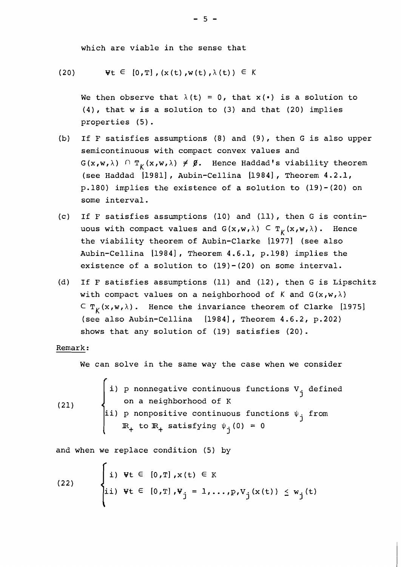which are viable in the sense that

(20) 
$$
\forall t \in [0, T], (x(t), w(t), \lambda(t)) \in K
$$

We then observe that  $\lambda(t) = 0$ , that  $x(\cdot)$  is a solution to (4), that w is a solution to (3) and that (20) implies properties (5).

- (b) If **F** satisfies assumptions (8) and (9), then G is also upper semicontinuous with compact convex values and  $G(x,w,\lambda)$  n  $T_k(x,w,\lambda) \neq \emptyset$ . Hence Haddad's viability theorem (see Haddad [1981], Aubin-Cellina [1984], Theorem 4.2.1, p.180) implies the existence of a solution to (19)-(20) on some interval.
- (c) If F satisfies assumptions (10) and (ll), then G is continuous with compact values and  $G(x,w,\lambda) \subseteq T_K(x,w,\lambda)$ . Hence the viability theorem of Aubin-Clarke [1977] (see also Aubin-Cellina [1984], Theorem 4.6.1, p.198) implies the existence of a solution to (19)-(20) on some interval.
- (d) If F satisfies assumptions (11) and (12), then G is Lipschitz with compact values on a neighborhood of K and  $G(x,w,\lambda)$  $C T_K(x,w,\lambda)$ . Hence the invariance theorem of Clarke [1975] (see also Aubin-Cellina [1984], Theorem 4.6.2, p.202) shows that any solution of (19) satisfies (20).

#### Remark :

We can solve in the same way the case when we consider

If sorve in the same way the case when we consider<br>
i) p nonnegative continuous functions  $V_j$  defined<br>
on a neighborhood of K  $(21)$ ii) p nonpositive continuous functions  $\psi_{\frac{1}{2}}$  from  $\mathbb{R}_+$  to  $\mathbb{R}_+$  satisfying  $\psi_j(0) = 0$ 

and when we replace condition (5) by

(22) 
$$
\begin{cases} i) \ \Psi t \in [0, T], x(t) \in K \\ ii) \ \Psi t \in [0, T], \Psi_j = 1, ..., p, V_j(x(t)) \leq w_j(t) \end{cases}
$$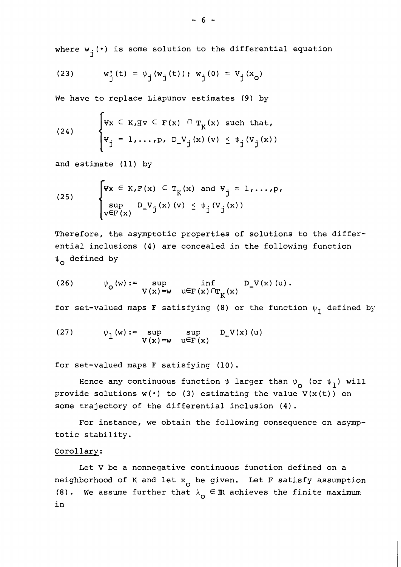where  $w_i(\cdot)$  is some solution to the differential equation

(23) 
$$
w_j'(t) = \psi_j(w_j(t)); w_j(0) = V_j(x_0)
$$

We have to replace Liapunov estimates (9) by

(24) 
$$
\begin{cases} \mathbf{v}_x \in K, \exists v \in F(x) \cap T_K(x) \text{ such that,} \\ \mathbf{v}_j = 1, \ldots, p, D_V_j(x) \quad (v) \leq \psi_j(V_j(x)) \end{cases}
$$

and estimate (11) by

(25) 
$$
\begin{cases} \n\mathbf{v}_x \in K, \mathbf{F}(x) \subset \mathbf{T}_K(x) \text{ and } \mathbf{v}_j = 1, \ldots, \mathbf{p}, \\ \n\sup_{\mathbf{v} \in \mathbf{F}(x)} D_{\mathbf{v}} \mathbf{v}_j(x) \quad \text{(v)} \leq \psi_j(\mathbf{v}_j(x)) \n\end{cases}
$$

Therefore, the asymptotic properties of solutions to the differential inclusions (4) are concealed in the following function  $\psi_{\Omega}$  defined by

(26) 
$$
\psi_{\mathcal{O}}(w) := \sup_{V(x) = w} \inf_{u \in F(x) \cap T_K(x)} D_V(x) (u).
$$

for set-valued maps F satisfying (8) or the function  $\psi_1$  defined by

(27) 
$$
\psi_1(w) := \sup_{V(x) = w} \sup_{u \in F(x)} D_V(x) (u)
$$

for set-valued maps F satisfying (10).

Hence any continuous function  $\psi$  larger than  $\psi$  (or  $\psi$ <sub>1</sub>) will provide solutions  $w(\cdot)$  to (3) estimating the value  $V(x(t))$  on some trajectory of the differential inclusion (4).

For instance, we obtain the following consequence on asymptotic stability.

# Corollarv:

Let V be a nonnegative continuous function defined on a neighborhood of K and let  $x_0$  be given. Let F satisfy assumption (8). We assume further that  $\lambda_{\Omega} \in \mathbb{R}$  achieves the finite maximum in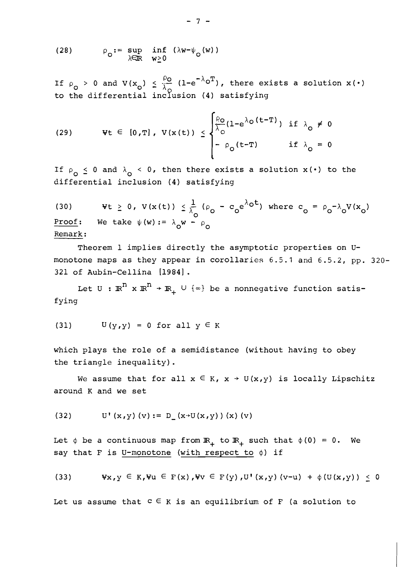(28) 
$$
\rho_{\mathbf{0}} := \sup_{\lambda \in \mathbb{R}} \inf_{\mathbf{w} \geq 0} (\lambda \mathbf{w} - \psi_{\mathbf{0}}(\mathbf{w}))
$$

If  $\rho$  > 0 and V(x<sub>o</sub>)  $\leq \frac{50}{\lambda}$  (1-e<sup>- $\wedge$ o<sup>T</sup>), there exists a solution x(.)</sup> to the differential inclusion (4) satisfying

(29) 
$$
\forall t \in [0, T], V(x(t)) \leq \begin{cases} \frac{\rho_0}{\lambda_0} (1 - e^{\lambda_0 (t - T)}) & \text{if } \lambda_0 \neq 0 \\ -\rho_0 (t - T) & \text{if } \lambda_0 = 0 \end{cases}
$$

If  $\rho_{\Omega} \le 0$  and  $\lambda_{\Omega} < 0$ , then there exists a solution x(.) to the differential inclusion (4) satisfying

(30)  $\mathbf{v}t \geq 0$ ,  $V(\mathbf{x}(t)) \leq \frac{1}{\lambda_0} (\rho_0 - c_0 e^{\lambda_0 t})$  where  $c_0 = \rho_0 - \lambda_0 V(\mathbf{x}_0)$ Proof: We take  $\psi(w) := \lambda_0 w - \rho_0$ Remark :

Theorem 1 implies directly the asymptotic properties on **U**monotone maps as they appear in corollaries 6.5.1 and 6.5.2, pp. 320- 321 of Aubin-Cellina [1984].

Let  $U : \mathbb{R}^n \times \mathbb{R}^n \to \mathbb{R}_+ \cup \{\infty\}$  be a nonnegative function satisfying

(31) 
$$
U(y,y) = 0
$$
 for all  $y \in K$ 

which plays the role of a semidistance (without having to obey the triangle inequality).

We assume that for all  $x \in K$ ,  $x \rightarrow U(x,y)$  is locally Lipschitz around **K** and we set

(32) 
$$
U'(x,y)(v) := D(x+U(x,y))(x)(v)
$$

Let  $\phi$  be a continuous map from  $\mathbb{R}_+$  to  $\mathbb{R}_+$  such that  $\phi(0) = 0$ . We say that F is U-monotone (with respect to  $\phi$ ) if

(33) 
$$
\forall x, y \in K, \forall u \in F(x), \forall v \in F(y), U^{\dagger}(x, y) (v-u) + \phi(U(x, y)) \leq 0
$$

Let us assume that  $c \in K$  is an equilibrium of F (a solution to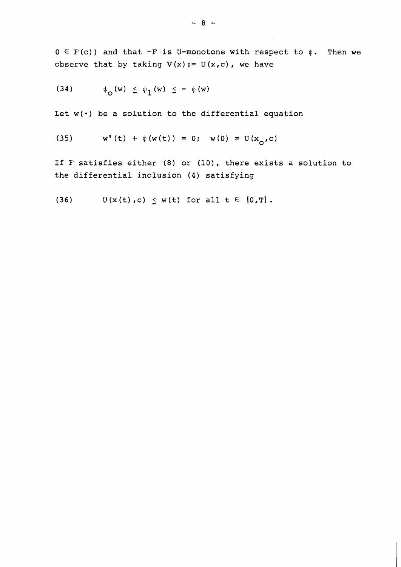$0 \in F(c)$  and that  $-F$  is U-monotone with respect to  $\phi$ . Then we observe that by taking  $V(x) := U(x,c)$ , we have

$$
(34) \qquad \psi_{\mathcal{O}}(w) \leq \psi_{\mathcal{I}}(w) \leq - \phi(w)
$$

Let  $w(\cdot)$  be a solution to the differential equation

(35) 
$$
w'(t) + \phi(w(t)) = 0; w(0) = U(x_0, c)
$$

If F satisfies either (8) or (10), there exists a solution to the differential inclusion (4) satisfying

(36) 
$$
U(x(t), c) \leq w(t)
$$
 for all  $t \in [0, T]$ .